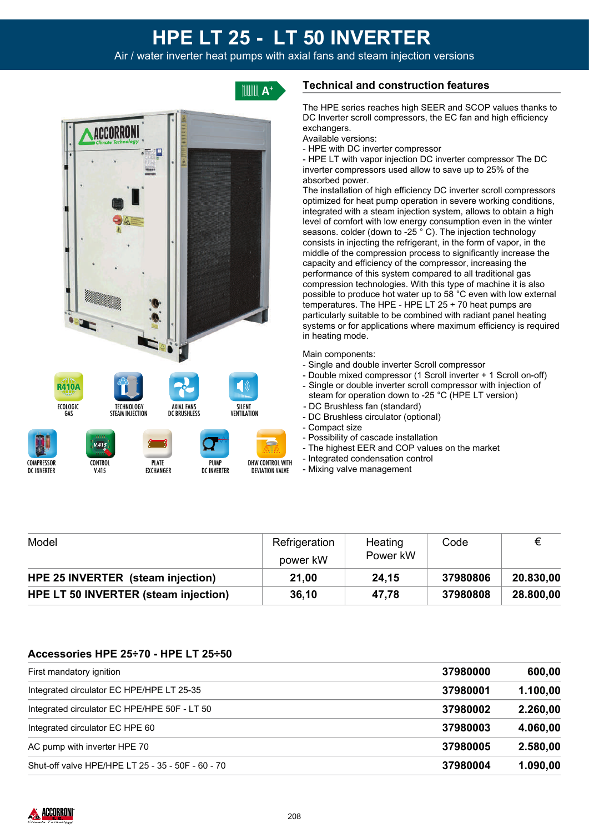# **HPE LT 25 - LT 50 INVERTER**

Air / water inverter heat pumps with axial fans and steam injection versions



EXCHANGER

V.415



# **Technical and construction features**

The HPE series reaches high SEER and SCOP values thanks to DC Inverter scroll compressors, the EC fan and high efficiency exchangers.

- Available versions:
- HPE with DC inverter compressor

- HPE LT with vapor injection DC inverter compressor The DC inverter compressors used allow to save up to 25% of the absorbed power.

The installation of high efficiency DC inverter scroll compressors optimized for heat pump operation in severe working conditions, integrated with a steam injection system, allows to obtain a high level of comfort with low energy consumption even in the winter seasons. colder (down to -25<sup>°</sup>C). The injection technology consists in injecting the refrigerant, in the form of vapor, in the middle of the compression process to significantly increase the capacity and efficiency of the compressor, increasing the performance of this system compared to all traditional gas compression technologies. With this type of machine it is also possible to produce hot water up to 58 °C even with low external temperatures. The HPE - HPE LT  $25 \div 70$  heat pumps are particularly suitable to be combined with radiant panel heating systems or for applications where maximum efficiency is required in heating mode.

#### Main components:

- Single and double inverter Scroll compressor
- Double mixed compressor (1 Scroll inverter + 1 Scroll on-off)
- Single or double inverter scroll compressor with injection of steam for operation down to -25 °C (HPE LT version)
- DC Brushless fan (standard)
- DC Brushless circulator (optional)
- Compact size
- Possibility of cascade installation
- The highest EER and COP values on the market
- Integrated condensation control
- Mixing valve management

| Model                                | Refrigeration<br>power kW | Heating<br>Power kW | Code     |           |
|--------------------------------------|---------------------------|---------------------|----------|-----------|
| HPE 25 INVERTER (steam injection)    | 21,00                     | 24,15               | 37980806 | 20.830,00 |
| HPE LT 50 INVERTER (steam injection) | 36,10                     | 47.78               | 37980808 | 28.800,00 |

DEVIATION VALVE

DC INVERTER

# **Accessories HPE 25÷70 - HPE LT 25÷50**

| First mandatory ignition                          | 37980000 | 600,00   |
|---------------------------------------------------|----------|----------|
| Integrated circulator EC HPE/HPE LT 25-35         | 37980001 | 1.100,00 |
| Integrated circulator EC HPE/HPE 50F - LT 50      | 37980002 | 2.260,00 |
| Integrated circulator EC HPE 60                   | 37980003 | 4.060,00 |
| AC pump with inverter HPE 70                      | 37980005 | 2.580,00 |
| Shut-off valve HPE/HPE LT 25 - 35 - 50F - 60 - 70 | 37980004 | 1.090,00 |



DC INVERTER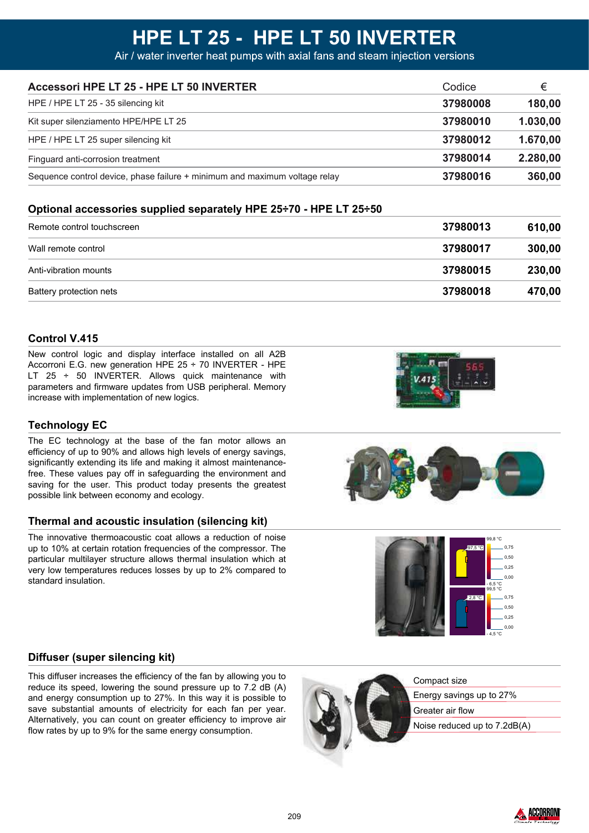| Accessori HPE LT 25 - HPE LT 50 INVERTER                                   | Codice   | €        |
|----------------------------------------------------------------------------|----------|----------|
| HPE / HPE LT 25 - 35 silencing kit                                         | 37980008 | 180,00   |
| Kit super silenziamento HPE/HPE LT 25                                      | 37980010 | 1.030,00 |
| HPE / HPE LT 25 super silencing kit                                        | 37980012 | 1.670,00 |
| Finguard anti-corrosion treatment                                          | 37980014 | 2.280,00 |
| Sequence control device, phase failure + minimum and maximum voltage relay | 37980016 | 360,00   |

### **Optional accessories supplied separately HPE 25÷70 - HPE LT 25÷50**

| Remote control touchscreen | 37980013 | 610,00 |
|----------------------------|----------|--------|
| Wall remote control        | 37980017 | 300,00 |
| Anti-vibration mounts      | 37980015 | 230,00 |
| Battery protection nets    | 37980018 | 470,00 |

### **Control V.415**

New control logic and display interface installed on all A2B Accorroni E.G. new generation HPE 25 ÷ 70 INVERTER - HPE LT 25  $\div$  50 INVERTER. Allows quick maintenance with parameters and firmware updates from USB peripheral. Memory increase with implementation of new logics.

### **Technology EC**

The EC technology at the base of the fan motor allows an efficiency of up to 90% and allows high levels of energy savings, significantly extending its life and making it almost maintenance free. These values pay off in safeguarding the environment and saving for the user. This product today presents the greatest possible link between economy and ecology.

#### **Thermal and acoustic insulation (silencing kit)**

The innovative thermoacoustic coat allows a reduction of noise up to 10% at certain rotation frequencies of the compressor. The particular multilayer structure allows thermal insulation which at very low temperatures reduces losses by up to 2% compared to standard insulation.







#### **Diffuser (super silencing kit)**

This diffuser increases the efficiency of the fan by allowing you to reduce its speed, lowering the sound pressure up to 7.2 dB (A) and energy consumption up to 27%. In this way it is possible to save substantial amounts of electricity for each fan per year. Alternatively, you can count on greater efficiency to improve air flow rates by up to 9% for the same energy consumption.



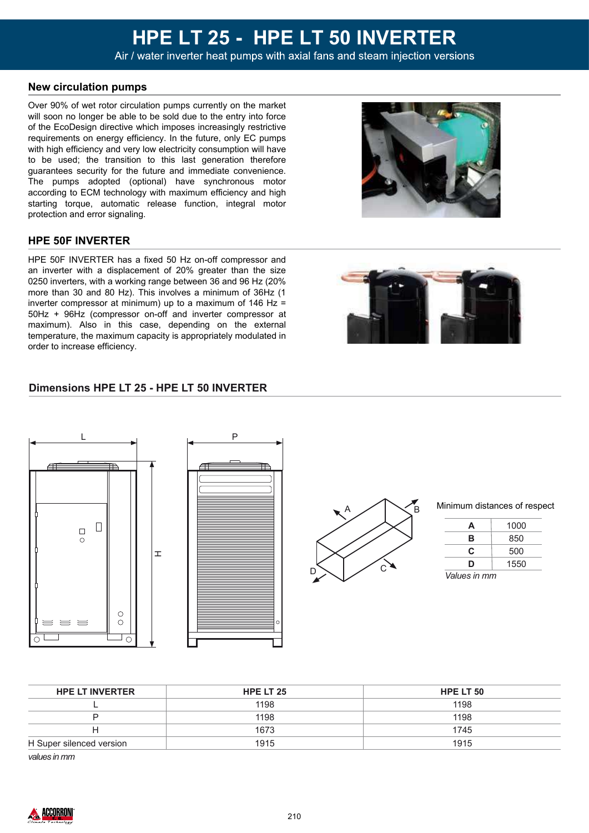#### **New circulation pumps**

Over 90% of wet rotor circulation pumps currently on the market will soon no longer be able to be sold due to the entry into force of the EcoDesign directive which imposes increasingly restrictive requirements on energy efficiency. In the future, only EC pumps with high efficiency and very low electricity consumption will have to be used; the transition to this last generation therefore guarantees security for the future and immediate convenience. The pumps adopted (optional) have synchronous motor according to ECM technology with maximum efficiency and high starting torque, automatic release function, integral motor protection and error signaling.

#### **HPE 50F INVERTER**

HPE 50F INVERTER has a fixed 50 Hz on-off compressor and an inverter with a displacement of 20% greater than the size 0250 inverters, with a working range between 36 and 96 Hz (20% more than 30 and 80 Hz). This involves a minimum of 36Hz (1 inverter compressor at minimum) up to a maximum of 146 Hz = 50Hz + 96Hz (compressor on-off and inverter compressor at maximum). Also in this case, depending on the external temperature, the maximum capacity is appropriately modulated in order to increase efficiency.

#### **Dimensions HPE LT 25 - HPE LT 50 INVERTER**



| <b>HPE LT INVERTER</b>      | HPE LT 25 | HPE LT 50 |  |
|-----------------------------|-----------|-----------|--|
|                             | 1198      | 1198      |  |
|                             | 1198      | 1198      |  |
|                             | 1673      | 1745      |  |
| H Super silenced version    | 1915      | 1915      |  |
| $\sim$ $\sim$ $\sim$ $\sim$ |           |           |  |

*values in mm*





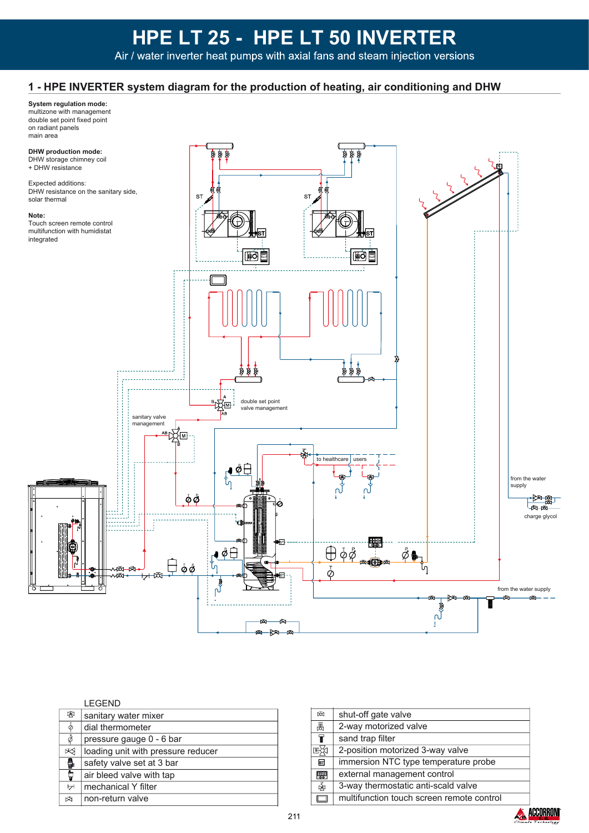## **1 - HPE INVERTER system diagram for the production of heating, air conditioning and DHW**

## **System regulation mode:**

multizone with management double set point fixed point on radiant panels main area



#### LEGEND

| 图            | sanitary water mixer               |
|--------------|------------------------------------|
| $\bar{\phi}$ | dial thermometer                   |
| φ            | pressure gauge 0 - 6 bar           |
| ∞            | loading unit with pressure reducer |
| 8            | safety valve set at 3 bar          |
| ţ            | air bleed valve with tap           |
| ∀            | mechanical Y filter                |
| 囟            | non-return valve                   |
|              |                                    |

| 网                       | shut-off gate valve                       |  |
|-------------------------|-------------------------------------------|--|
| 恩                       | 2-way motorized valve                     |  |
| ₩                       | sand trap filter                          |  |
| 国次                      | 2-position motorized 3-way valve          |  |
| $\overline{\mathbf{s}}$ | immersion NTC type temperature probe      |  |
| 舉                       | external management control               |  |
| 函                       | 3-way thermostatic anti-scald valve       |  |
|                         | multifunction touch screen remote control |  |
|                         |                                           |  |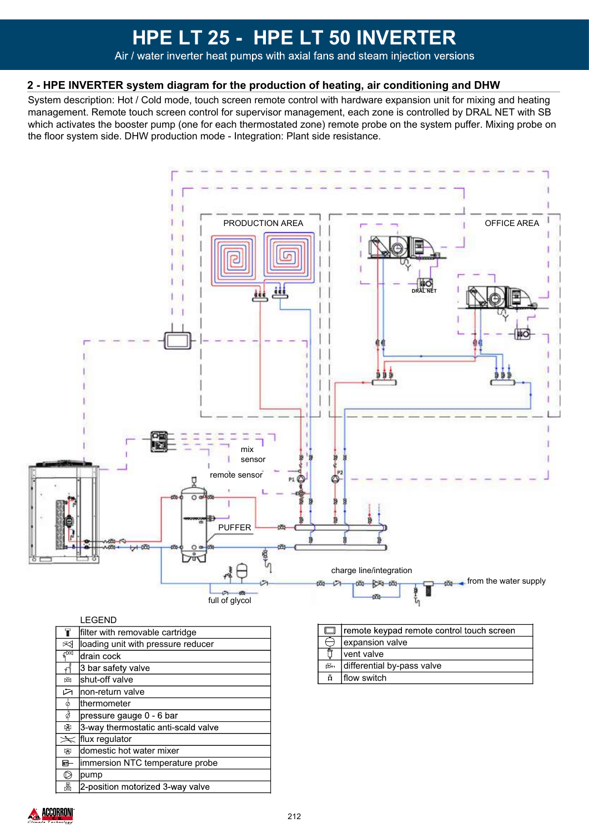### **2 - HPE INVERTER system diagram for the production of heating, air conditioning and DHW**

System description: Hot / Cold mode, touch screen remote control with hardware expansion unit for mixing and heating management. Remote touch screen control for supervisor management, each zone is controlled by DRAL NET with SB which activates the booster pump (one for each thermostated zone) remote probe on the system puffer. Mixing probe on the floor system side. DHW production mode - Integration: Plant side resistance.



|                         | LEGEND                              |
|-------------------------|-------------------------------------|
| T                       | filter with removable cartridge     |
| ⊠                       | loading unit with pressure reducer  |
| ्रेळ                    | drain cock                          |
| $\overline{\vec{A}}$    | 3 bar safety valve                  |
| 两                       | shut-off valve                      |
| 凶                       | lnon-return valve                   |
| $\bar{\phi}$            | lthermometer                        |
| ढ़ै                     | pressure gauge 0 - 6 bar            |
| 啝                       | 3-way thermostatic anti-scald valve |
| $\cancel{\preccurlyeq}$ | flux regulator                      |
| ₩                       | domestic hot water mixer            |
| 厨                       | immersion NTC temperature probe     |
| D                       | pump                                |
| 뮍                       | 2-position motorized 3-way valve    |

|     | remote keypad remote control touch screen |
|-----|-------------------------------------------|
|     | expansion valve                           |
|     | Ivent valve                               |
| rБм | differential by-pass valve                |
| ō   | flow switch                               |